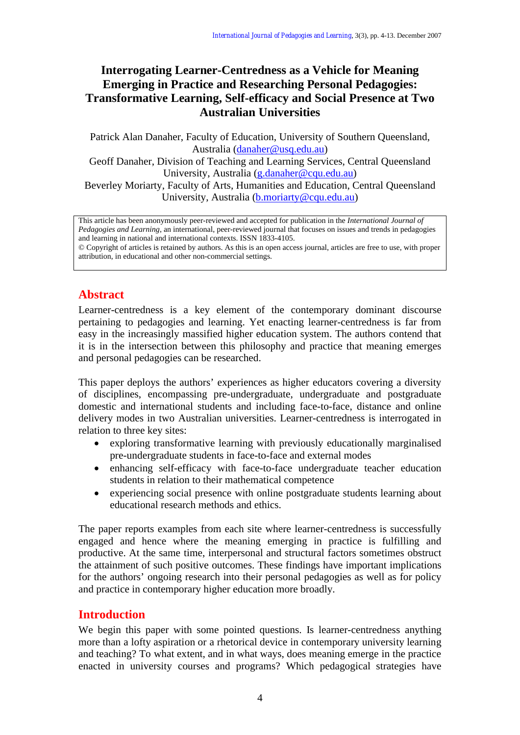# **Interrogating Learner-Centredness as a Vehicle for Meaning Emerging in Practice and Researching Personal Pedagogies: Transformative Learning, Self-efficacy and Social Presence at Two Australian Universities**

Patrick Alan Danaher, Faculty of Education, University of Southern Queensland, Australia (danaher@usq.edu.au)

Geoff Danaher, Division of Teaching and Learning Services, Central Queensland University, Australia (g.danaher@cqu.edu.au)

Beverley Moriarty, Faculty of Arts, Humanities and Education, Central Queensland University, Australia (b.moriarty@cqu.edu.au)

This article has been anonymously peer-reviewed and accepted for publication in the *International Journal of Pedagogies and Learning*, an international, peer-reviewed journal that focuses on issues and trends in pedagogies and learning in national and international contexts. ISSN 1833-4105.

© Copyright of articles is retained by authors. As this is an open access journal, articles are free to use, with proper attribution, in educational and other non-commercial settings.

# **Abstract**

Learner-centredness is a key element of the contemporary dominant discourse pertaining to pedagogies and learning. Yet enacting learner-centredness is far from easy in the increasingly massified higher education system. The authors contend that it is in the intersection between this philosophy and practice that meaning emerges and personal pedagogies can be researched.

This paper deploys the authors' experiences as higher educators covering a diversity of disciplines, encompassing pre-undergraduate, undergraduate and postgraduate domestic and international students and including face-to-face, distance and online delivery modes in two Australian universities. Learner-centredness is interrogated in relation to three key sites:

- exploring transformative learning with previously educationally marginalised pre-undergraduate students in face-to-face and external modes
- enhancing self-efficacy with face-to-face undergraduate teacher education students in relation to their mathematical competence
- experiencing social presence with online postgraduate students learning about educational research methods and ethics.

The paper reports examples from each site where learner-centredness is successfully engaged and hence where the meaning emerging in practice is fulfilling and productive. At the same time, interpersonal and structural factors sometimes obstruct the attainment of such positive outcomes. These findings have important implications for the authors' ongoing research into their personal pedagogies as well as for policy and practice in contemporary higher education more broadly.

## **Introduction**

We begin this paper with some pointed questions. Is learner-centredness anything more than a lofty aspiration or a rhetorical device in contemporary university learning and teaching? To what extent, and in what ways, does meaning emerge in the practice enacted in university courses and programs? Which pedagogical strategies have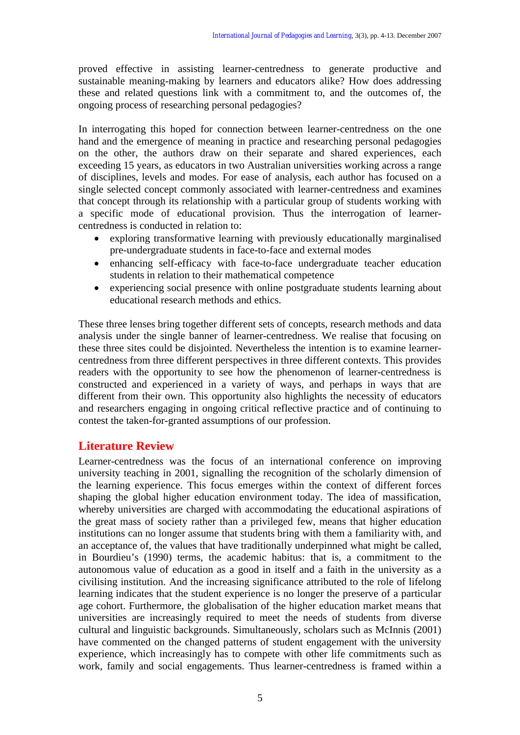proved effective in assisting learner-centredness to generate productive and sustainable meaning-making by learners and educators alike? How does addressing these and related questions link with a commitment to, and the outcomes of, the ongoing process of researching personal pedagogies?

In interrogating this hoped for connection between learner-centredness on the one hand and the emergence of meaning in practice and researching personal pedagogies on the other, the authors draw on their separate and shared experiences, each exceeding 15 years, as educators in two Australian universities working across a range of disciplines, levels and modes. For ease of analysis, each author has focused on a single selected concept commonly associated with learner-centredness and examines that concept through its relationship with a particular group of students working with a specific mode of educational provision. Thus the interrogation of learnercentredness is conducted in relation to:

- exploring transformative learning with previously educationally marginalised pre-undergraduate students in face-to-face and external modes
- enhancing self-efficacy with face-to-face undergraduate teacher education students in relation to their mathematical competence
- experiencing social presence with online postgraduate students learning about educational research methods and ethics.

These three lenses bring together different sets of concepts, research methods and data analysis under the single banner of learner-centredness. We realise that focusing on these three sites could be disjointed. Nevertheless the intention is to examine learnercentredness from three different perspectives in three different contexts. This provides readers with the opportunity to see how the phenomenon of learner-centredness is constructed and experienced in a variety of ways, and perhaps in ways that are different from their own. This opportunity also highlights the necessity of educators and researchers engaging in ongoing critical reflective practice and of continuing to contest the taken-for-granted assumptions of our profession.

## **Literature Review**

Learner-centredness was the focus of an international conference on improving university teaching in 2001, signalling the recognition of the scholarly dimension of the learning experience. This focus emerges within the context of different forces shaping the global higher education environment today. The idea of massification, whereby universities are charged with accommodating the educational aspirations of the great mass of society rather than a privileged few, means that higher education institutions can no longer assume that students bring with them a familiarity with, and an acceptance of, the values that have traditionally underpinned what might be called, in Bourdieu's (1990) terms, the academic habitus: that is, a commitment to the autonomous value of education as a good in itself and a faith in the university as a civilising institution. And the increasing significance attributed to the role of lifelong learning indicates that the student experience is no longer the preserve of a particular age cohort. Furthermore, the globalisation of the higher education market means that universities are increasingly required to meet the needs of students from diverse cultural and linguistic backgrounds. Simultaneously, scholars such as McInnis (2001) have commented on the changed patterns of student engagement with the university experience, which increasingly has to compete with other life commitments such as work, family and social engagements. Thus learner-centredness is framed within a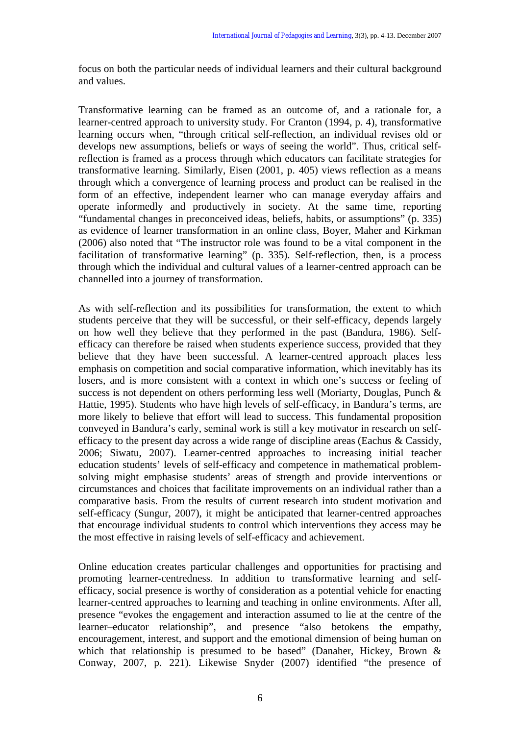focus on both the particular needs of individual learners and their cultural background and values.

Transformative learning can be framed as an outcome of, and a rationale for, a learner-centred approach to university study. For Cranton (1994, p. 4), transformative learning occurs when, "through critical self-reflection, an individual revises old or develops new assumptions, beliefs or ways of seeing the world". Thus, critical selfreflection is framed as a process through which educators can facilitate strategies for transformative learning. Similarly, Eisen (2001, p. 405) views reflection as a means through which a convergence of learning process and product can be realised in the form of an effective, independent learner who can manage everyday affairs and operate informedly and productively in society. At the same time, reporting "fundamental changes in preconceived ideas, beliefs, habits, or assumptions" (p. 335) as evidence of learner transformation in an online class, Boyer, Maher and Kirkman (2006) also noted that "The instructor role was found to be a vital component in the facilitation of transformative learning" (p. 335). Self-reflection, then, is a process through which the individual and cultural values of a learner-centred approach can be channelled into a journey of transformation.

As with self-reflection and its possibilities for transformation, the extent to which students perceive that they will be successful, or their self-efficacy, depends largely on how well they believe that they performed in the past (Bandura, 1986). Selfefficacy can therefore be raised when students experience success, provided that they believe that they have been successful. A learner-centred approach places less emphasis on competition and social comparative information, which inevitably has its losers, and is more consistent with a context in which one's success or feeling of success is not dependent on others performing less well (Moriarty, Douglas, Punch & Hattie, 1995). Students who have high levels of self-efficacy, in Bandura's terms, are more likely to believe that effort will lead to success. This fundamental proposition conveyed in Bandura's early, seminal work is still a key motivator in research on selfefficacy to the present day across a wide range of discipline areas (Eachus & Cassidy, 2006; Siwatu, 2007). Learner-centred approaches to increasing initial teacher education students' levels of self-efficacy and competence in mathematical problemsolving might emphasise students' areas of strength and provide interventions or circumstances and choices that facilitate improvements on an individual rather than a comparative basis. From the results of current research into student motivation and self-efficacy (Sungur, 2007), it might be anticipated that learner-centred approaches that encourage individual students to control which interventions they access may be the most effective in raising levels of self-efficacy and achievement.

Online education creates particular challenges and opportunities for practising and promoting learner-centredness. In addition to transformative learning and selfefficacy, social presence is worthy of consideration as a potential vehicle for enacting learner-centred approaches to learning and teaching in online environments. After all, presence "evokes the engagement and interaction assumed to lie at the centre of the learner–educator relationship", and presence "also betokens the empathy, encouragement, interest, and support and the emotional dimension of being human on which that relationship is presumed to be based" (Danaher, Hickey, Brown & Conway, 2007, p. 221). Likewise Snyder (2007) identified "the presence of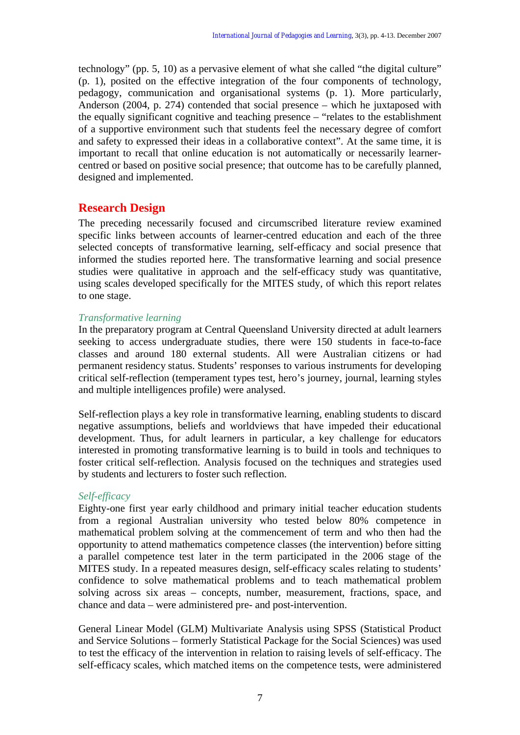technology" (pp. 5, 10) as a pervasive element of what she called "the digital culture" (p. 1), posited on the effective integration of the four components of technology, pedagogy, communication and organisational systems (p. 1). More particularly, Anderson (2004, p. 274) contended that social presence – which he juxtaposed with the equally significant cognitive and teaching presence – "relates to the establishment of a supportive environment such that students feel the necessary degree of comfort and safety to expressed their ideas in a collaborative context". At the same time, it is important to recall that online education is not automatically or necessarily learnercentred or based on positive social presence; that outcome has to be carefully planned, designed and implemented.

## **Research Design**

The preceding necessarily focused and circumscribed literature review examined specific links between accounts of learner-centred education and each of the three selected concepts of transformative learning, self-efficacy and social presence that informed the studies reported here. The transformative learning and social presence studies were qualitative in approach and the self-efficacy study was quantitative, using scales developed specifically for the MITES study, of which this report relates to one stage.

### *Transformative learning*

In the preparatory program at Central Queensland University directed at adult learners seeking to access undergraduate studies, there were 150 students in face-to-face classes and around 180 external students. All were Australian citizens or had permanent residency status. Students' responses to various instruments for developing critical self-reflection (temperament types test, hero's journey, journal, learning styles and multiple intelligences profile) were analysed.

Self-reflection plays a key role in transformative learning, enabling students to discard negative assumptions, beliefs and worldviews that have impeded their educational development. Thus, for adult learners in particular, a key challenge for educators interested in promoting transformative learning is to build in tools and techniques to foster critical self-reflection. Analysis focused on the techniques and strategies used by students and lecturers to foster such reflection.

### *Self-efficacy*

Eighty-one first year early childhood and primary initial teacher education students from a regional Australian university who tested below 80% competence in mathematical problem solving at the commencement of term and who then had the opportunity to attend mathematics competence classes (the intervention) before sitting a parallel competence test later in the term participated in the 2006 stage of the MITES study. In a repeated measures design, self-efficacy scales relating to students' confidence to solve mathematical problems and to teach mathematical problem solving across six areas – concepts, number, measurement, fractions, space, and chance and data – were administered pre- and post-intervention.

General Linear Model (GLM) Multivariate Analysis using SPSS (Statistical Product and Service Solutions – formerly Statistical Package for the Social Sciences) was used to test the efficacy of the intervention in relation to raising levels of self-efficacy. The self-efficacy scales, which matched items on the competence tests, were administered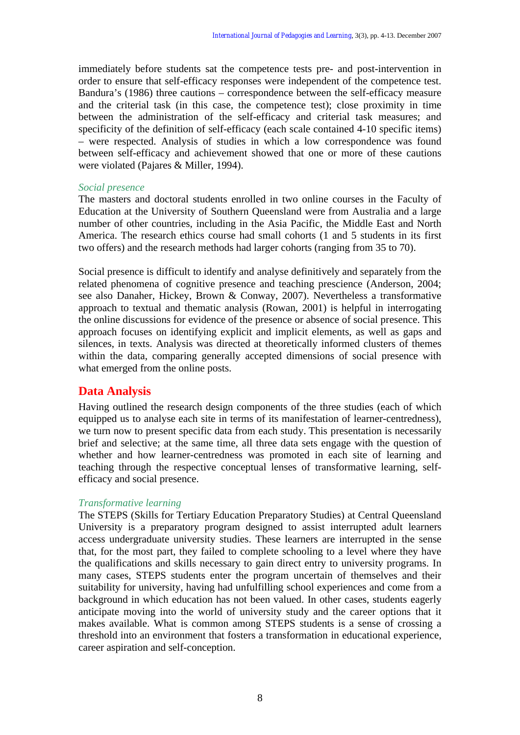immediately before students sat the competence tests pre- and post-intervention in order to ensure that self-efficacy responses were independent of the competence test. Bandura's (1986) three cautions – correspondence between the self-efficacy measure and the criterial task (in this case, the competence test); close proximity in time between the administration of the self-efficacy and criterial task measures; and specificity of the definition of self-efficacy (each scale contained 4-10 specific items) – were respected. Analysis of studies in which a low correspondence was found between self-efficacy and achievement showed that one or more of these cautions were violated (Pajares & Miller, 1994).

#### *Social presence*

The masters and doctoral students enrolled in two online courses in the Faculty of Education at the University of Southern Queensland were from Australia and a large number of other countries, including in the Asia Pacific, the Middle East and North America. The research ethics course had small cohorts (1 and 5 students in its first two offers) and the research methods had larger cohorts (ranging from 35 to 70).

Social presence is difficult to identify and analyse definitively and separately from the related phenomena of cognitive presence and teaching prescience (Anderson, 2004; see also Danaher, Hickey, Brown & Conway, 2007). Nevertheless a transformative approach to textual and thematic analysis (Rowan, 2001) is helpful in interrogating the online discussions for evidence of the presence or absence of social presence. This approach focuses on identifying explicit and implicit elements, as well as gaps and silences, in texts. Analysis was directed at theoretically informed clusters of themes within the data, comparing generally accepted dimensions of social presence with what emerged from the online posts.

## **Data Analysis**

Having outlined the research design components of the three studies (each of which equipped us to analyse each site in terms of its manifestation of learner-centredness), we turn now to present specific data from each study. This presentation is necessarily brief and selective; at the same time, all three data sets engage with the question of whether and how learner-centredness was promoted in each site of learning and teaching through the respective conceptual lenses of transformative learning, selfefficacy and social presence.

#### *Transformative learning*

The STEPS (Skills for Tertiary Education Preparatory Studies) at Central Queensland University is a preparatory program designed to assist interrupted adult learners access undergraduate university studies. These learners are interrupted in the sense that, for the most part, they failed to complete schooling to a level where they have the qualifications and skills necessary to gain direct entry to university programs. In many cases, STEPS students enter the program uncertain of themselves and their suitability for university, having had unfulfilling school experiences and come from a background in which education has not been valued. In other cases, students eagerly anticipate moving into the world of university study and the career options that it makes available. What is common among STEPS students is a sense of crossing a threshold into an environment that fosters a transformation in educational experience, career aspiration and self-conception.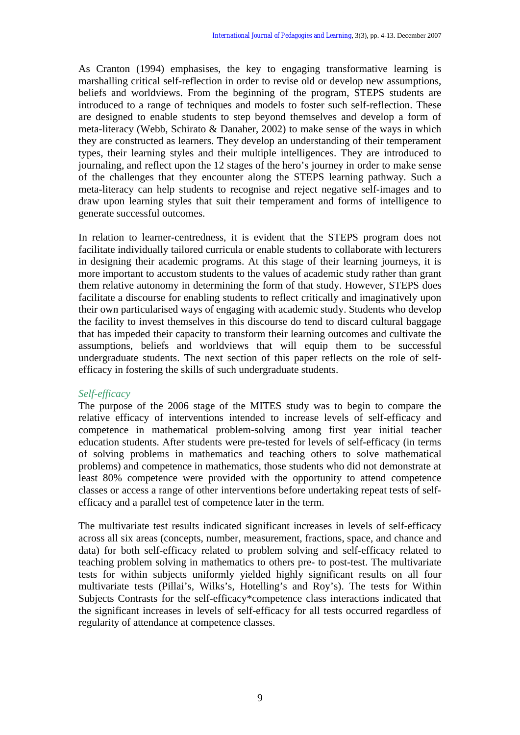As Cranton (1994) emphasises, the key to engaging transformative learning is marshalling critical self-reflection in order to revise old or develop new assumptions, beliefs and worldviews. From the beginning of the program, STEPS students are introduced to a range of techniques and models to foster such self-reflection. These are designed to enable students to step beyond themselves and develop a form of meta-literacy (Webb, Schirato & Danaher, 2002) to make sense of the ways in which they are constructed as learners. They develop an understanding of their temperament types, their learning styles and their multiple intelligences. They are introduced to journaling, and reflect upon the 12 stages of the hero's journey in order to make sense of the challenges that they encounter along the STEPS learning pathway. Such a meta-literacy can help students to recognise and reject negative self-images and to draw upon learning styles that suit their temperament and forms of intelligence to generate successful outcomes.

In relation to learner-centredness, it is evident that the STEPS program does not facilitate individually tailored curricula or enable students to collaborate with lecturers in designing their academic programs. At this stage of their learning journeys, it is more important to accustom students to the values of academic study rather than grant them relative autonomy in determining the form of that study. However, STEPS does facilitate a discourse for enabling students to reflect critically and imaginatively upon their own particularised ways of engaging with academic study. Students who develop the facility to invest themselves in this discourse do tend to discard cultural baggage that has impeded their capacity to transform their learning outcomes and cultivate the assumptions, beliefs and worldviews that will equip them to be successful undergraduate students. The next section of this paper reflects on the role of selfefficacy in fostering the skills of such undergraduate students.

#### *Self-efficacy*

The purpose of the 2006 stage of the MITES study was to begin to compare the relative efficacy of interventions intended to increase levels of self-efficacy and competence in mathematical problem-solving among first year initial teacher education students. After students were pre-tested for levels of self-efficacy (in terms of solving problems in mathematics and teaching others to solve mathematical problems) and competence in mathematics, those students who did not demonstrate at least 80% competence were provided with the opportunity to attend competence classes or access a range of other interventions before undertaking repeat tests of selfefficacy and a parallel test of competence later in the term.

The multivariate test results indicated significant increases in levels of self-efficacy across all six areas (concepts, number, measurement, fractions, space, and chance and data) for both self-efficacy related to problem solving and self-efficacy related to teaching problem solving in mathematics to others pre- to post-test. The multivariate tests for within subjects uniformly yielded highly significant results on all four multivariate tests (Pillai's, Wilks's, Hotelling's and Roy's). The tests for Within Subjects Contrasts for the self-efficacy\*competence class interactions indicated that the significant increases in levels of self-efficacy for all tests occurred regardless of regularity of attendance at competence classes.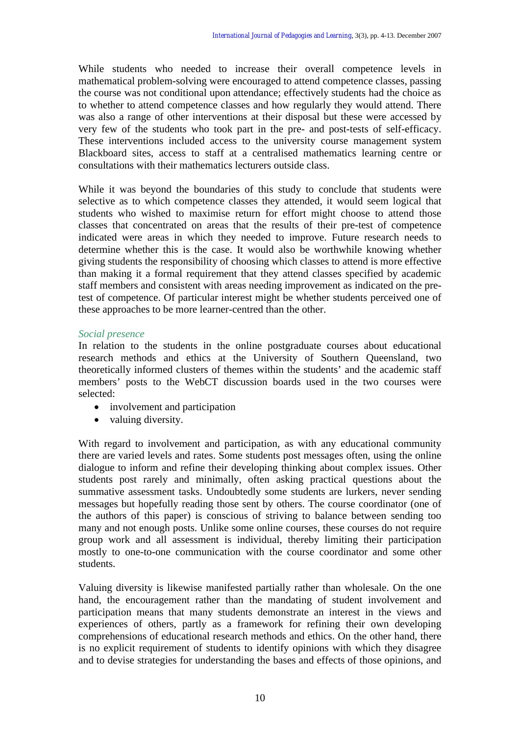While students who needed to increase their overall competence levels in mathematical problem-solving were encouraged to attend competence classes, passing the course was not conditional upon attendance; effectively students had the choice as to whether to attend competence classes and how regularly they would attend. There was also a range of other interventions at their disposal but these were accessed by very few of the students who took part in the pre- and post-tests of self-efficacy. These interventions included access to the university course management system Blackboard sites, access to staff at a centralised mathematics learning centre or consultations with their mathematics lecturers outside class.

While it was beyond the boundaries of this study to conclude that students were selective as to which competence classes they attended, it would seem logical that students who wished to maximise return for effort might choose to attend those classes that concentrated on areas that the results of their pre-test of competence indicated were areas in which they needed to improve. Future research needs to determine whether this is the case. It would also be worthwhile knowing whether giving students the responsibility of choosing which classes to attend is more effective than making it a formal requirement that they attend classes specified by academic staff members and consistent with areas needing improvement as indicated on the pretest of competence. Of particular interest might be whether students perceived one of these approaches to be more learner-centred than the other.

### *Social presence*

In relation to the students in the online postgraduate courses about educational research methods and ethics at the University of Southern Queensland, two theoretically informed clusters of themes within the students' and the academic staff members' posts to the WebCT discussion boards used in the two courses were selected:

- involvement and participation
- valuing diversity.

With regard to involvement and participation, as with any educational community there are varied levels and rates. Some students post messages often, using the online dialogue to inform and refine their developing thinking about complex issues. Other students post rarely and minimally, often asking practical questions about the summative assessment tasks. Undoubtedly some students are lurkers, never sending messages but hopefully reading those sent by others. The course coordinator (one of the authors of this paper) is conscious of striving to balance between sending too many and not enough posts. Unlike some online courses, these courses do not require group work and all assessment is individual, thereby limiting their participation mostly to one-to-one communication with the course coordinator and some other students.

Valuing diversity is likewise manifested partially rather than wholesale. On the one hand, the encouragement rather than the mandating of student involvement and participation means that many students demonstrate an interest in the views and experiences of others, partly as a framework for refining their own developing comprehensions of educational research methods and ethics. On the other hand, there is no explicit requirement of students to identify opinions with which they disagree and to devise strategies for understanding the bases and effects of those opinions, and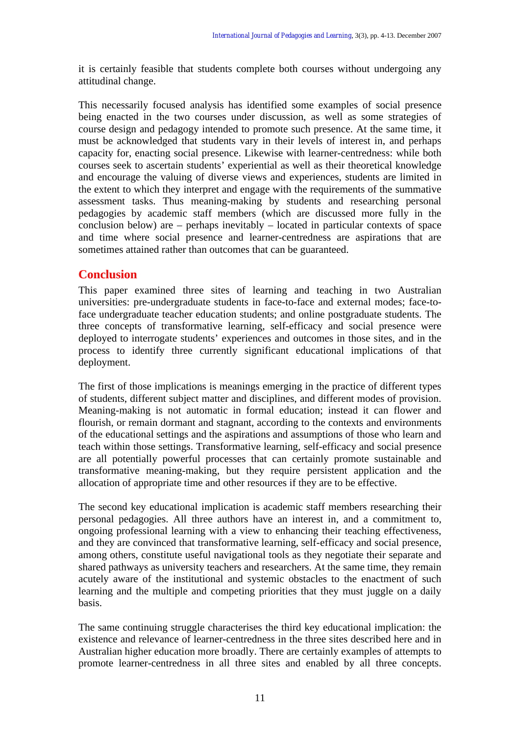it is certainly feasible that students complete both courses without undergoing any attitudinal change.

This necessarily focused analysis has identified some examples of social presence being enacted in the two courses under discussion, as well as some strategies of course design and pedagogy intended to promote such presence. At the same time, it must be acknowledged that students vary in their levels of interest in, and perhaps capacity for, enacting social presence. Likewise with learner-centredness: while both courses seek to ascertain students' experiential as well as their theoretical knowledge and encourage the valuing of diverse views and experiences, students are limited in the extent to which they interpret and engage with the requirements of the summative assessment tasks. Thus meaning-making by students and researching personal pedagogies by academic staff members (which are discussed more fully in the conclusion below) are – perhaps inevitably – located in particular contexts of space and time where social presence and learner-centredness are aspirations that are sometimes attained rather than outcomes that can be guaranteed.

## **Conclusion**

This paper examined three sites of learning and teaching in two Australian universities: pre-undergraduate students in face-to-face and external modes; face-toface undergraduate teacher education students; and online postgraduate students. The three concepts of transformative learning, self-efficacy and social presence were deployed to interrogate students' experiences and outcomes in those sites, and in the process to identify three currently significant educational implications of that deployment.

The first of those implications is meanings emerging in the practice of different types of students, different subject matter and disciplines, and different modes of provision. Meaning-making is not automatic in formal education; instead it can flower and flourish, or remain dormant and stagnant, according to the contexts and environments of the educational settings and the aspirations and assumptions of those who learn and teach within those settings. Transformative learning, self-efficacy and social presence are all potentially powerful processes that can certainly promote sustainable and transformative meaning-making, but they require persistent application and the allocation of appropriate time and other resources if they are to be effective.

The second key educational implication is academic staff members researching their personal pedagogies. All three authors have an interest in, and a commitment to, ongoing professional learning with a view to enhancing their teaching effectiveness, and they are convinced that transformative learning, self-efficacy and social presence, among others, constitute useful navigational tools as they negotiate their separate and shared pathways as university teachers and researchers. At the same time, they remain acutely aware of the institutional and systemic obstacles to the enactment of such learning and the multiple and competing priorities that they must juggle on a daily basis.

The same continuing struggle characterises the third key educational implication: the existence and relevance of learner-centredness in the three sites described here and in Australian higher education more broadly. There are certainly examples of attempts to promote learner-centredness in all three sites and enabled by all three concepts.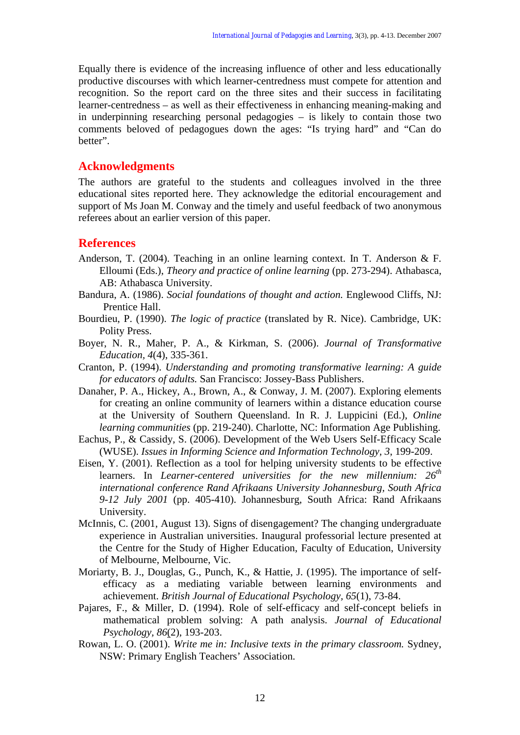Equally there is evidence of the increasing influence of other and less educationally productive discourses with which learner-centredness must compete for attention and recognition. So the report card on the three sites and their success in facilitating learner-centredness – as well as their effectiveness in enhancing meaning-making and in underpinning researching personal pedagogies – is likely to contain those two comments beloved of pedagogues down the ages: "Is trying hard" and "Can do better".

## **Acknowledgments**

The authors are grateful to the students and colleagues involved in the three educational sites reported here. They acknowledge the editorial encouragement and support of Ms Joan M. Conway and the timely and useful feedback of two anonymous referees about an earlier version of this paper.

## **References**

- Anderson, T. (2004). Teaching in an online learning context. In T. Anderson & F. Elloumi (Eds.), *Theory and practice of online learning* (pp. 273-294). Athabasca, AB: Athabasca University.
- Bandura, A. (1986). *Social foundations of thought and action.* Englewood Cliffs, NJ: Prentice Hall.
- Bourdieu, P. (1990). *The logic of practice* (translated by R. Nice). Cambridge, UK: Polity Press.
- Boyer, N. R., Maher, P. A., & Kirkman, S. (2006). *Journal of Transformative Education, 4*(4), 335-361.
- Cranton, P. (1994). *Understanding and promoting transformative learning: A guide for educators of adults.* San Francisco: Jossey-Bass Publishers.
- Danaher, P. A., Hickey, A., Brown, A., & Conway, J. M. (2007). Exploring elements for creating an online community of learners within a distance education course at the University of Southern Queensland. In R. J. Luppicini (Ed.), *Online learning communities* (pp. 219-240). Charlotte, NC: Information Age Publishing.
- Eachus, P., & Cassidy, S. (2006). Development of the Web Users Self-Efficacy Scale (WUSE). *Issues in Informing Science and Information Technology, 3*, 199-209.
- Eisen, Y. (2001). Reflection as a tool for helping university students to be effective learners. In *Learner-centered universities for the new millennium: 26th international conference Rand Afrikaans University Johannesburg, South Africa 9-12 July 2001* (pp. 405-410). Johannesburg, South Africa: Rand Afrikaans University.
- McInnis, C. (2001, August 13). Signs of disengagement? The changing undergraduate experience in Australian universities. Inaugural professorial lecture presented at the Centre for the Study of Higher Education, Faculty of Education, University of Melbourne, Melbourne, Vic.
- Moriarty, B. J., Douglas, G., Punch, K., & Hattie, J. (1995). The importance of selfefficacy as a mediating variable between learning environments and achievement. *British Journal of Educational Psychology, 65*(1), 73-84.
- Pajares, F., & Miller, D. (1994). Role of self-efficacy and self-concept beliefs in mathematical problem solving: A path analysis. *Journal of Educational Psychology, 86*(2), 193-203.
- Rowan, L. O. (2001). *Write me in: Inclusive texts in the primary classroom.* Sydney, NSW: Primary English Teachers' Association.